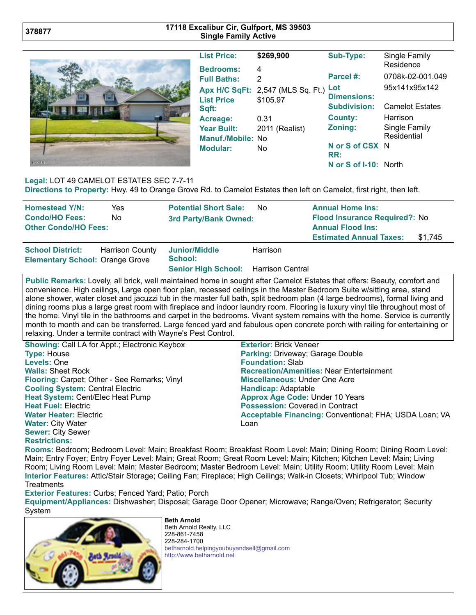## **17118 Excalibur Cir, Gulfport, MS 39503 Single Family Active**



| <b>List Price:</b> | \$269,900                         | Sub-Type:             | Single Family<br>Residence |
|--------------------|-----------------------------------|-----------------------|----------------------------|
| <b>Bedrooms:</b>   | 4                                 |                       |                            |
| <b>Full Baths:</b> | 2                                 | Parcel #:             | 0708k-02-001.049           |
|                    | Apx H/C SqFt: 2,547 (MLS Sq. Ft.) | Lot                   | 95x141x95x142              |
| <b>List Price</b>  | \$105.97                          | <b>Dimensions:</b>    |                            |
| Sqft:              |                                   | <b>Subdivision:</b>   | <b>Camelot Estates</b>     |
| Acreage:           | 0.31                              | <b>County:</b>        | Harrison                   |
| <b>Year Built:</b> | 2011 (Realist)                    | Zoning:               | Single Family              |
| Manuf./Mobile: No  |                                   |                       | Residential                |
| Modular:           | No                                | N or S of CSX N       |                            |
|                    |                                   | RR:                   |                            |
|                    |                                   | N or S of I-10: North |                            |

## **Legal:** LOT 49 CAMELOT ESTATES SEC 7-7-11

**Directions to Property:** Hwy. 49 to Orange Grove Rd. to Camelot Estates then left on Camelot, first right, then left.

| <b>Homestead Y/N:</b><br><b>Condo/HO Fees:</b><br><b>Other Condo/HO Fees:</b> | Yes<br>No.             | <b>Potential Short Sale:</b><br>3rd Party/Bank Owned: | No.      | <b>Annual Home Ins:</b><br>Flood Insurance Required?: No<br><b>Annual Flood Ins:</b><br><b>Estimated Annual Taxes:</b> | \$1,745 |
|-------------------------------------------------------------------------------|------------------------|-------------------------------------------------------|----------|------------------------------------------------------------------------------------------------------------------------|---------|
| <b>School District:</b><br><b>Elementary School: Orange Grove</b>             | <b>Harrison County</b> | Junior/Middle<br>School:                              | Harrison |                                                                                                                        |         |
|                                                                               |                        | Senior High School: Harrison Central                  |          |                                                                                                                        |         |

**Public Remarks:** Lovely, all brick, well maintained home in sought after Camelot Estates that offers: Beauty, comfort and convenience. High ceilings, Large open floor plan, recessed ceilings in the Master Bedroom Suite w/sitting area, stand alone shower, water closet and jacuzzi tub in the master full bath, split bedroom plan (4 large bedrooms), formal living and dining rooms plus a large great room with fireplace and indoor laundry room. Flooring is luxury vinyl tile throughout most of the home. Vinyl tile in the bathrooms and carpet in the bedrooms. Vivant system remains with the home. Service is currently month to month and can be transferred. Large fenced yard and fabulous open concrete porch with railing for entertaining or relaxing. Under a termite contract with Wayne's Pest Control.

| <b>Showing: Call LA for Appt.; Electronic Keybox</b> | <b>Exterior: Brick Veneer</b>                          |  |  |
|------------------------------------------------------|--------------------------------------------------------|--|--|
| <b>Type: House</b>                                   | Parking: Driveway; Garage Double                       |  |  |
| Levels: One                                          | <b>Foundation: Slab</b>                                |  |  |
| <b>Walls: Sheet Rock</b>                             | <b>Recreation/Amenities: Near Entertainment</b>        |  |  |
| Flooring: Carpet; Other - See Remarks; Vinyl         | <b>Miscellaneous: Under One Acre</b>                   |  |  |
| <b>Cooling System: Central Electric</b>              | Handicap: Adaptable                                    |  |  |
| Heat System: Cent/Elec Heat Pump                     | <b>Approx Age Code: Under 10 Years</b>                 |  |  |
| <b>Heat Fuel: Electric</b>                           | <b>Possession: Covered in Contract</b>                 |  |  |
| <b>Water Heater: Electric</b>                        | Acceptable Financing: Conventional; FHA; USDA Loan; VA |  |  |
| <b>Water: City Water</b>                             | Loan                                                   |  |  |
| <b>Sewer: City Sewer</b>                             |                                                        |  |  |
| <b>Restrictions:</b>                                 |                                                        |  |  |

**Rooms:** Bedroom; Bedroom Level: Main; Breakfast Room; Breakfast Room Level: Main; Dining Room; Dining Room Level: Main; Entry Foyer; Entry Foyer Level: Main; Great Room; Great Room Level: Main; Kitchen; Kitchen Level: Main; Living Room; Living Room Level: Main; Master Bedroom; Master Bedroom Level: Main; Utility Room; Utility Room Level: Main **Interior Features:** Attic/Stair Storage; Ceiling Fan; Fireplace; High Ceilings; Walk-in Closets; Whirlpool Tub; Window **Treatments** 

**Exterior Features:** Curbs; Fenced Yard; Patio; Porch

**Equipment/Appliances:** Dishwasher; Disposal; Garage Door Opener; Microwave; Range/Oven; Refrigerator; Security System



**Beth Arnold** Beth Arnold Realty, LLC 228-861-7458 228-284-1700 [betharnold.helpingyoubuyandsell@gmail.com](mailto:betharnold.helpingyoubuyandsell@gmail.com) [http://www.betharnold.net](http://www.betharnold.net/)